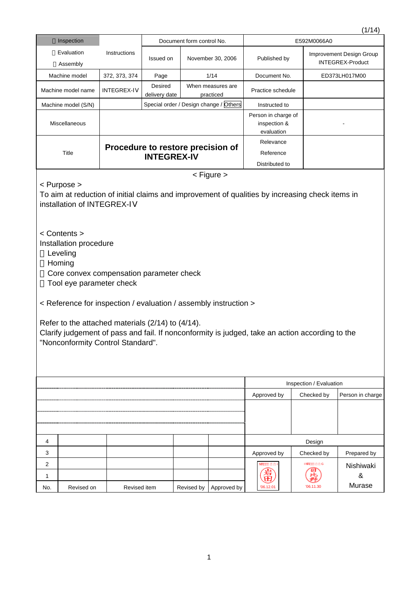|                                                                                                                                                                                                                                                                                                                                                                                                                                                                                                                                                                          |                        |                                   |                                |            |                                        |                                                   |                                              | ודי יי ו      |  |
|--------------------------------------------------------------------------------------------------------------------------------------------------------------------------------------------------------------------------------------------------------------------------------------------------------------------------------------------------------------------------------------------------------------------------------------------------------------------------------------------------------------------------------------------------------------------------|------------------------|-----------------------------------|--------------------------------|------------|----------------------------------------|---------------------------------------------------|----------------------------------------------|---------------|--|
|                                                                                                                                                                                                                                                                                                                                                                                                                                                                                                                                                                          | Inspection             | Document form control No.         |                                |            |                                        | E592M0066A0                                       |                                              |               |  |
|                                                                                                                                                                                                                                                                                                                                                                                                                                                                                                                                                                          | Evaluation<br>Assembly | Instructions                      | Issued on<br>November 30, 2006 |            | Published by                           |                                                   | Improvement Design Group<br>INTEGREX-Product |               |  |
|                                                                                                                                                                                                                                                                                                                                                                                                                                                                                                                                                                          | Machine model          | 372, 373, 374                     | Page                           |            | 1/14                                   | Document No.                                      |                                              | ED373LH017M00 |  |
|                                                                                                                                                                                                                                                                                                                                                                                                                                                                                                                                                                          | Machine model name     | <b>INTEGREX-IV</b>                | Desired<br>delivery date       |            | When measures are<br>practiced         | Practice schedule                                 |                                              |               |  |
|                                                                                                                                                                                                                                                                                                                                                                                                                                                                                                                                                                          | Machine model (S/N)    |                                   |                                |            | Special order / Design change / Others | Instructed to                                     |                                              |               |  |
|                                                                                                                                                                                                                                                                                                                                                                                                                                                                                                                                                                          | Miscellaneous          |                                   |                                |            |                                        | Person in charge of<br>inspection &<br>evaluation |                                              |               |  |
|                                                                                                                                                                                                                                                                                                                                                                                                                                                                                                                                                                          |                        |                                   |                                |            |                                        | Relevance                                         |                                              |               |  |
|                                                                                                                                                                                                                                                                                                                                                                                                                                                                                                                                                                          | <b>Title</b>           | Procedure to restore precision of | <b>INTEGREX-IV</b>             |            |                                        | Reference                                         |                                              |               |  |
|                                                                                                                                                                                                                                                                                                                                                                                                                                                                                                                                                                          |                        |                                   |                                |            |                                        | Distributed to                                    |                                              |               |  |
| $<$ Figure $>$<br>< Purpose ><br>To aim at reduction of initial claims and improvement of qualities by increasing check items in<br>installation of INTEGREX-IV<br>< Contents ><br>Installation procedure<br>Leveling<br>Homing<br>Core convex compensation parameter check<br>Tool eye parameter check<br>< Reference for inspection / evaluation / assembly instruction ><br>Refer to the attached materials (2/14) to (4/14).<br>Clarify judgement of pass and fail. If nonconformity is judged, take an action according to the<br>"Nonconformity Control Standard". |                        |                                   |                                |            |                                        |                                                   |                                              |               |  |
| Inspection / Evaluation                                                                                                                                                                                                                                                                                                                                                                                                                                                                                                                                                  |                        |                                   |                                |            |                                        |                                                   |                                              |               |  |
| Approved by<br>Checked by<br>Person in charge                                                                                                                                                                                                                                                                                                                                                                                                                                                                                                                            |                        |                                   |                                |            |                                        |                                                   |                                              |               |  |
|                                                                                                                                                                                                                                                                                                                                                                                                                                                                                                                                                                          |                        |                                   |                                |            |                                        |                                                   |                                              |               |  |
|                                                                                                                                                                                                                                                                                                                                                                                                                                                                                                                                                                          |                        |                                   |                                |            |                                        |                                                   |                                              |               |  |
| 4                                                                                                                                                                                                                                                                                                                                                                                                                                                                                                                                                                        |                        |                                   |                                |            |                                        |                                                   | Design                                       |               |  |
| 3                                                                                                                                                                                                                                                                                                                                                                                                                                                                                                                                                                        |                        |                                   |                                |            |                                        | Approved by                                       | Checked by                                   | Prepared by   |  |
| 2                                                                                                                                                                                                                                                                                                                                                                                                                                                                                                                                                                        |                        |                                   |                                |            |                                        | NTE                                               | <b>INTE</b>                                  | Nishiwaki     |  |
| 1                                                                                                                                                                                                                                                                                                                                                                                                                                                                                                                                                                        |                        |                                   |                                |            |                                        | '06.12.01                                         | 06.11.30                                     | &<br>Murase   |  |
| No.                                                                                                                                                                                                                                                                                                                                                                                                                                                                                                                                                                      | Revised on             | Revised item                      |                                | Revised by | Approved by                            |                                                   |                                              |               |  |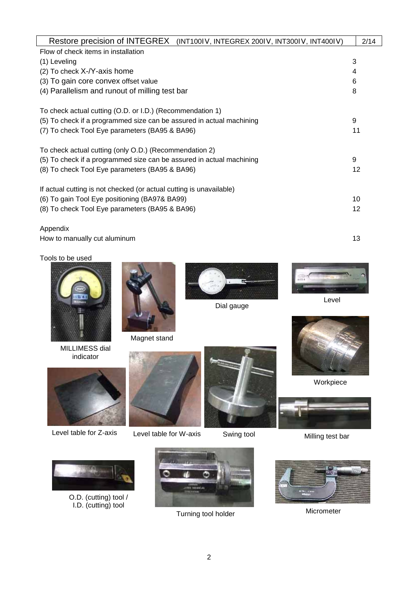| Restore precision of INTEGREX<br>(INT100IV, INTEGREX 200IV, INT300IV, INT400IV) | 2/14 |
|---------------------------------------------------------------------------------|------|
| Flow of check items in installation                                             |      |
| (1) Leveling                                                                    | 3    |
| $(2)$ To check $X-Y$ -axis home                                                 | 4    |
| (3) To gain core convex offset value                                            | 6    |
| (4) Parallelism and runout of milling test bar                                  | 8    |
| To check actual cutting (O.D. or I.D.) (Recommendation 1)                       |      |
| (5) To check if a programmed size can be assured in actual machining            | 9    |
| (7) To check Tool Eye parameters (BA95 & BA96)                                  | 11   |
| To check actual cutting (only O.D.) (Recommendation 2)                          |      |
| (5) To check if a programmed size can be assured in actual machining            | 9    |
| (8) To check Tool Eye parameters (BA95 & BA96)                                  | 12   |
| If actual cutting is not checked (or actual cutting is unavailable)             |      |
| (6) To gain Tool Eye positioning (BA97& BA99)                                   | 10   |
| (8) To check Tool Eye parameters (BA95 & BA96)                                  | 12   |
|                                                                                 |      |

# Appendix

How to manually cut aluminum and the state of the state of the state of the state of the state of the state of the state of the state of the state of the state of the state of the state of the state of the state of the sta

Tools to be used



MILLIMESS dial indicator



Magnet stand



Level table for Z-axis



Level table for W-axis Swing tool



Dial gauge







Workpiece



Milling test bar



O.D. (cutting) tool / I.D. (cutting) tool



Turning tool holder



Micrometer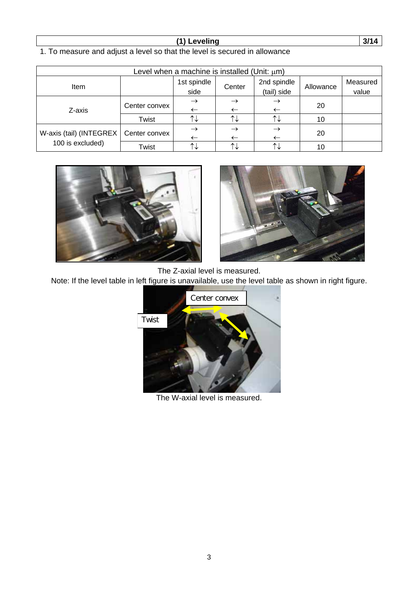### **(1) Leveling 3/14**

1. To measure and adjust a level so that the level is secured in allowance

| Level when a machine is installed (Unit: $\mu$ m) |               |               |                       |               |           |          |
|---------------------------------------------------|---------------|---------------|-----------------------|---------------|-----------|----------|
| <b>Item</b>                                       |               | 1st spindle   | Center                | 2nd spindle   | Allowance | Measured |
|                                                   |               | side          |                       | (tail) side   |           | value    |
|                                                   |               |               |                       | $\rightarrow$ |           |          |
| Z-axis                                            | Center convex | $\leftarrow$  |                       |               | 20        |          |
|                                                   | Twist         | ᡗ↓            | $\uparrow \downarrow$ | ↑↓            | 10        |          |
|                                                   |               | $\rightarrow$ |                       | $\rightarrow$ |           |          |
| W-axis (tail) (INTEGREX                           | Center convex |               |                       |               | 20        |          |
| 100 is excluded)                                  | Twist         |               |                       | ↑↓            | 10        |          |





The Z-axial level is measured.

Note: If the level table in left figure is unavailable, use the level table as shown in right figure.



The W-axial level is measured.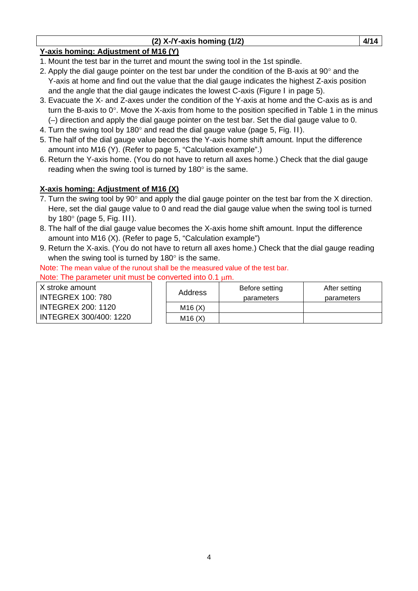|  | $(2)$ X-/Y-axis homing $(1/2)$ |  |
|--|--------------------------------|--|
|--|--------------------------------|--|

# **Y-axis homing: Adjustment of M16 (Y)**

- 1. Mount the test bar in the turret and mount the swing tool in the 1st spindle.
- 2. Apply the dial gauge pointer on the test bar under the condition of the B-axis at 90° and the Y-axis at home and find out the value that the dial gauge indicates the highest Z-axis position and the angle that the dial gauge indicates the lowest  $C$ -axis (Figure I in page 5).
- 3. Evacuate the X- and Z-axes under the condition of the Y-axis at home and the C-axis as is and turn the B-axis to 0°. Move the X-axis from home to the position specified in Table 1 in the minus (–) direction and apply the dial gauge pointer on the test bar. Set the dial gauge value to 0.
- 4. Turn the swing tool by 180° and read the dial gauge value (page 5, Fig. II).
- 5. The half of the dial gauge value becomes the Y-axis home shift amount. Input the difference amount into M16 (Y). (Refer to page 5, "Calculation example".)
- 6. Return the Y-axis home. (You do not have to return all axes home.) Check that the dial gauge reading when the swing tool is turned by 180° is the same.

# **X-axis homing: Adjustment of M16 (X)**

- 7. Turn the swing tool by 90 $^{\circ}$  and apply the dial gauge pointer on the test bar from the X direction. Here, set the dial gauge value to 0 and read the dial gauge value when the swing tool is turned by  $180^\circ$  (page 5, Fig. III).
- 8. The half of the dial gauge value becomes the X-axis home shift amount. Input the difference amount into M16 (X). (Refer to page 5, "Calculation example")
- 9. Return the X-axis. (You do not have to return all axes home.) Check that the dial gauge reading when the swing tool is turned by 180° is the same.

Note: The mean value of the runout shall be the measured value of the test bar. Note: The parameter unit must be converted into  $0.1 \mu m$ .

X stroke amount INTEGREX 100: 780 INTEGREX 200: 1120 INTEGREX 300/400: 1220

|  | Address | Before setting<br>parameters | After setting<br>parameters |
|--|---------|------------------------------|-----------------------------|
|  | M16(X)  |                              |                             |
|  | M16(X)  |                              |                             |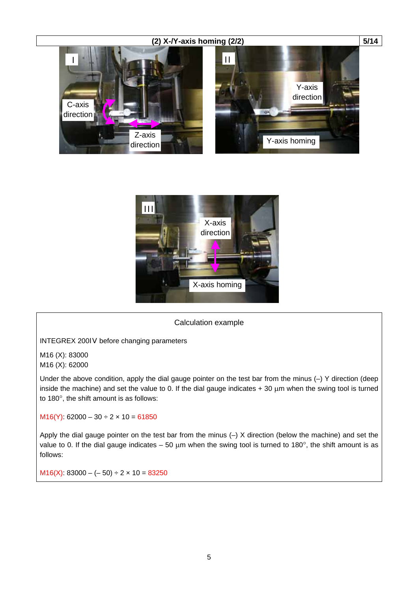



### Calculation example

INTEGREX 200IV before changing parameters

M16 (X): 83000 M16 (X): 62000

Under the above condition, apply the dial gauge pointer on the test bar from the minus (–) Y direction (deep inside the machine) and set the value to 0. If the dial gauge indicates  $+30 \mu m$  when the swing tool is turned to 180°, the shift amount is as follows:

M16(Y):  $62000 - 30 \div 2 \times 10 = 61850$ 

Apply the dial gauge pointer on the test bar from the minus (–) X direction (below the machine) and set the value to 0. If the dial gauge indicates – 50  $\mu$ m when the swing tool is turned to 180°, the shift amount is as follows:

 $M16(X)$ : 83000 – (– 50) ÷ 2 × 10 = 83250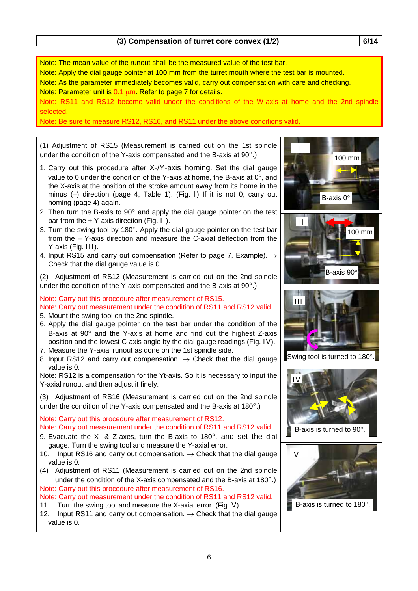Note: The mean value of the runout shall be the measured value of the test bar. Note: Apply the dial gauge pointer at 100 mm from the turret mouth where the test bar is mounted. Note: As the parameter immediately becomes valid, carry out compensation with care and checking. Note: Parameter unit is 0.1 µm. Refer to page 7 for details. Note: RS11 and RS12 become valid under the conditions of the W-axis at home and the 2nd spindle selected. Note: Be sure to measure RS12, RS16, and RS11 under the above conditions valid. I 100 mm B-axis 0° II 100 mm B-axis 90 III Swing tool is turned to 180°. IV B-axis is turned to 90°. (1) Adjustment of RS15 (Measurement is carried out on the 1st spindle under the condition of the Y-axis compensated and the B-axis at 90°.) 1. Carry out this procedure after X-/Y-axis homing. Set the dial gauge value to 0 under the condition of the Y-axis at home, the B-axis at 0°, and the X-axis at the position of the stroke amount away from its home in the minus (–) direction (page 4, Table 1). (Fig. I) If it is not 0, carry out homing (page 4) again. 2. Then turn the B-axis to  $90^\circ$  and apply the dial gauge pointer on the test bar from the + Y-axis direction (Fig. II). 3. Turn the swing tool by 180°. Apply the dial gauge pointer on the test bar from the – Y-axis direction and measure the C-axial deflection from the Y-axis (Fig. III). 4. Input RS15 and carry out compensation (Refer to page 7, Example).  $\rightarrow$ Check that the dial gauge value is 0. (2) Adjustment of RS12 (Measurement is carried out on the 2nd spindle under the condition of the Y-axis compensated and the B-axis at 90°.) Note: Carry out this procedure after measurement of RS15. Note: Carry out measurement under the condition of RS11 and RS12 valid. 5. Mount the swing tool on the 2nd spindle. 6. Apply the dial gauge pointer on the test bar under the condition of the B-axis at 90° and the Y-axis at home and find out the highest Z-axis position and the lowest C-axis angle by the dial gauge readings (Fig. IV). 7. Measure the Y-axial runout as done on the 1st spindle side. 8. Input RS12 and carry out compensation.  $\rightarrow$  Check that the dial gauge value is 0. Note: RS12 is a compensation for the Yt-axis. So it is necessary to input the Y-axial runout and then adjust it finely. (3) Adjustment of RS16 (Measurement is carried out on the 2nd spindle under the condition of the Y-axis compensated and the B-axis at 180°.) Note: Carry out this procedure after measurement of RS12. Note: Carry out measurement under the condition of RS11 and RS12 valid. 9. Evacuate the X- & Z-axes, turn the B-axis to 180°, and set the dial gauge. Turn the swing tool and measure the Y-axial error. 10. Input RS16 and carry out compensation.  $\rightarrow$  Check that the dial gauge value is 0. (4) Adjustment of RS11 (Measurement is carried out on the 2nd spindle under the condition of the X-axis compensated and the B-axis at 180°.) Note: Carry out this procedure after measurement of RS16. Note: Carry out measurement under the condition of RS11 and RS12 valid. 11. Turn the swing tool and measure the X-axial error. (Fig. V). 12. Input RS11 and carry out compensation.  $\rightarrow$  Check that the dial gauge value is 0. V B-axis is turned to 180°.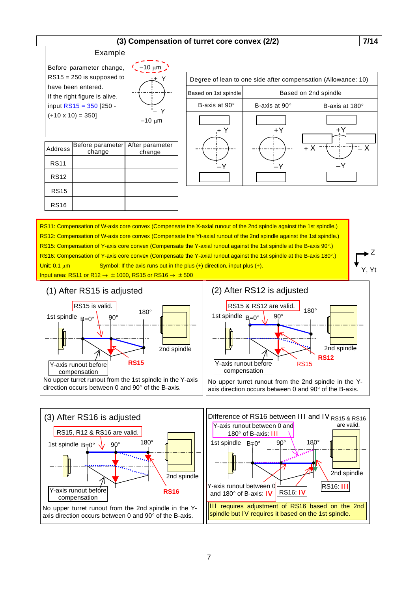### **(3) Compensation of turret core convex (2/2) 7/14**

### Example

Before parameter change, RS15 = 250 is supposed to have been entered. If the right figure is alive, input  $RS15 = 350$  [250 - $(+10 \times 10) = 350$ 



| Address     | Before parameter   After parameter<br>change | change |
|-------------|----------------------------------------------|--------|
| <b>RS11</b> |                                              |        |
| <b>RS12</b> |                                              |        |
| <b>RS15</b> |                                              |        |
| <b>RS16</b> |                                              |        |

| Degree of lean to one side after compensation (Allowance: 10)<br>Based on 2nd spindle<br>Based on 1st spindle<br>B-axis at $90^\circ$<br>B-axis at $90^\circ$<br>B-axis at 180°<br>+ X |  |  |  |  |  |
|----------------------------------------------------------------------------------------------------------------------------------------------------------------------------------------|--|--|--|--|--|
|                                                                                                                                                                                        |  |  |  |  |  |
|                                                                                                                                                                                        |  |  |  |  |  |
|                                                                                                                                                                                        |  |  |  |  |  |
|                                                                                                                                                                                        |  |  |  |  |  |

RS11: Compensation of W-axis core convex (Compensate the X-axial runout of the 2nd spindle against the 1st spindle.) RS12: Compensation of W-axis core convex (Compensate the Yt-axial runout of the 2nd spindle against the 1st spindle.) RS15: Compensation of Y-axis core convex (Compensate the Y-axial runout against the 1st spindle at the B-axis 90°.) RS16: Compensation of Y-axis core convex (Compensate the Y-axial runout against the 1st spindle at the B-axis 180°.) Unit:  $0.1 \mu m$  Symbol: If the axis runs out in the plus (+) direction, input plus (+). Input area: RS11 or R12  $\rightarrow \pm 1000$ , RS15 or RS16  $\rightarrow \pm 500$ 

Y, Yt Z



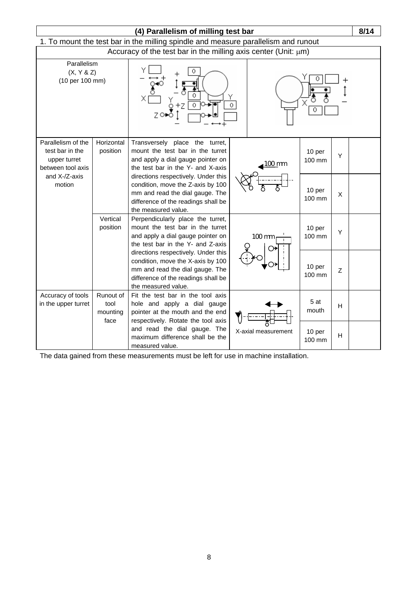| (4) Parallelism of milling test bar                                |                                       |                                                                                                                                                                           |  |                     | 8/14             |                           |  |
|--------------------------------------------------------------------|---------------------------------------|---------------------------------------------------------------------------------------------------------------------------------------------------------------------------|--|---------------------|------------------|---------------------------|--|
|                                                                    |                                       | 1. To mount the test bar in the milling spindle and measure parallelism and runout                                                                                        |  |                     |                  |                           |  |
|                                                                    |                                       | Accuracy of the test bar in the milling axis center (Unit: $\mu$ m)                                                                                                       |  |                     |                  |                           |  |
| Parallelism<br>(X, Y & Z)<br>(10 per 100 mm)<br>Parallelism of the |                                       | 0<br>0                                                                                                                                                                    |  |                     |                  |                           |  |
| test bar in the<br>upper turret<br>between tool axis               | Horizontal<br>position                | Transversely place the turret,<br>mount the test bar in the turret<br>and apply a dial gauge pointer on<br>the test bar in the Y- and X-axis                              |  | 100 mm              | 10 per<br>100 mm | Y                         |  |
| and X-/Z-axis<br>motion                                            |                                       | directions respectively. Under this<br>condition, move the Z-axis by 100<br>mm and read the dial gauge. The<br>difference of the readings shall be<br>the measured value. |  |                     | 10 per<br>100 mm | X                         |  |
|                                                                    | Vertical<br>position                  | Perpendicularly place the turret,<br>mount the test bar in the turret<br>and apply a dial gauge pointer on<br>the test bar in the Y- and Z-axis                           |  | $100 \text{ mm}$    | 10 per<br>100 mm | Y                         |  |
|                                                                    |                                       | directions respectively. Under this<br>condition, move the X-axis by 100<br>mm and read the dial gauge. The<br>difference of the readings shall be<br>the measured value. |  |                     | 10 per<br>100 mm | $\mathsf Z$               |  |
| Accuracy of tools<br>in the upper turret                           | Runout of<br>tool<br>mounting<br>face | Fit the test bar in the tool axis<br>hole and apply a dial gauge<br>pointer at the mouth and the end<br>respectively. Rotate the tool axis                                |  |                     | 5at<br>mouth     | $\boldsymbol{\mathsf{H}}$ |  |
|                                                                    |                                       | and read the dial gauge. The<br>maximum difference shall be the<br>measured value.                                                                                        |  | X-axial measurement | 10 per<br>100 mm | н                         |  |

The data gained from these measurements must be left for use in machine installation.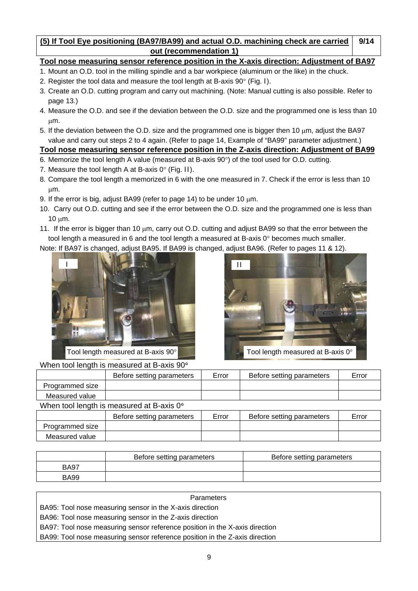#### **(5) If Tool Eye positioning (BA97/BA99) and actual O.D. machining check are carried out (recommendation 1) 9/14**

# **Tool nose measuring sensor reference position in the X-axis direction: Adjustment of BA97**

- 1. Mount an O.D. tool in the milling spindle and a bar workpiece (aluminum or the like) in the chuck.
- 2. Register the tool data and measure the tool length at B-axis 90° (Fig. I).
- 3. Create an O.D. cutting program and carry out machining. (Note: Manual cutting is also possible. Refer to page 13.)
- 4. Measure the O.D. and see if the deviation between the O.D. size and the programmed one is less than 10 µm.
- 5. If the deviation between the O.D. size and the programmed one is bigger then 10  $\mu$ m, adjust the BA97 value and carry out steps 2 to 4 again. (Refer to page 14, Example of "BA99" parameter adjustment.)

## **Tool nose measuring sensor reference position in the Z-axis direction: Adjustment of BA99**

- 6. Memorize the tool length A value (measured at B-axis 90°) of the tool used for O.D. cutting.
- 7. Measure the tool length A at B-axis  $0^{\circ}$  (Fig. II).
- 8. Compare the tool length a memorized in 6 with the one measured in 7. Check if the error is less than 10 µm.
- 9. If the error is big, adjust BA99 (refer to page 14) to be under 10  $\mu$ m.
- 10. Carry out O.D. cutting and see if the error between the O.D. size and the programmed one is less than 10 µm.
- 11. If the error is bigger than 10  $\mu$ m, carry out O.D. cutting and adjust BA99 so that the error between the tool length a measured in 6 and the tool length a measured at B-axis 0° becomes much smaller.

Note: If BA97 is changed, adjust BA95. If BA99 is changed, adjust BA96. (Refer to pages 11 & 12).



Tool length measured at B-axis 90°

Measured value



| When tool length is measured at B-axis 90° |                           |       |                           |       |  |  |
|--------------------------------------------|---------------------------|-------|---------------------------|-------|--|--|
|                                            | Before setting parameters | Error | Before setting parameters | Error |  |  |
| Programmed size                            |                           |       |                           |       |  |  |
| Measured value                             |                           |       |                           |       |  |  |
| When tool length is measured at B-axis 0°  |                           |       |                           |       |  |  |
|                                            | Before setting parameters | Error | Before setting parameters | Error |  |  |
| Programmed size                            |                           |       |                           |       |  |  |
|                                            |                           |       |                           |       |  |  |

|             | Before setting parameters | Before setting parameters |
|-------------|---------------------------|---------------------------|
| <b>BA97</b> |                           |                           |
| <b>BA99</b> |                           |                           |

| Parameters                                                                  |  |
|-----------------------------------------------------------------------------|--|
| BA95: Tool nose measuring sensor in the X-axis direction                    |  |
| BA96: Tool nose measuring sensor in the Z-axis direction                    |  |
| BA97: Tool nose measuring sensor reference position in the X-axis direction |  |
| BA99: Tool nose measuring sensor reference position in the Z-axis direction |  |
|                                                                             |  |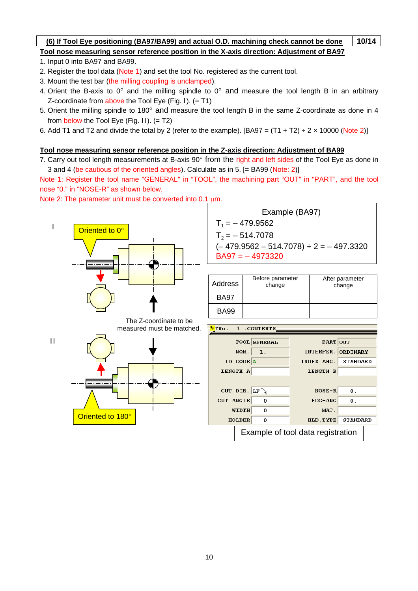### **(6) If Tool Eye positioning (BA97/BA99) and actual O.D. machining check cannot be done 10/14 Tool nose measuring sensor reference position in the X-axis direction: Adjustment of BA97**

- 1. Input 0 into BA97 and BA99.
- 2. Register the tool data (Note 1) and set the tool No. registered as the current tool.
- 3. Mount the test bar (the milling coupling is unclamped).
- 4. Orient the B-axis to  $0^{\circ}$  and the milling spindle to  $0^{\circ}$  and measure the tool length B in an arbitrary Z-coordinate from above the Tool Eye (Fig. I).  $(=T1)$
- 5. Orient the milling spindle to 180° and measure the tool length B in the same Z-coordinate as done in 4 from below the Tool Eye (Fig. II).  $(= T2)$
- 6. Add T1 and T2 and divide the total by 2 (refer to the example).  $[BA97 = (T1 + T2) \div 2 \times 10000$  (Note 2)]

### **Tool nose measuring sensor reference position in the Z-axis direction: Adjustment of BA99**

7. Carry out tool length measurements at B-axis 90° from the right and left sides of the Tool Eye as done in 3 and 4 (be cautious of the oriented angles). Calculate as in 5. [= BA99 (Note: 2)]

Note 1: Register the tool name "GENERAL" in "TOOL", the machining part "OUT" in "PART", and the tool nose "0." in "NOSE-R" as shown below.

Note 2: The parameter unit must be converted into 0.1  $\mu$ m.

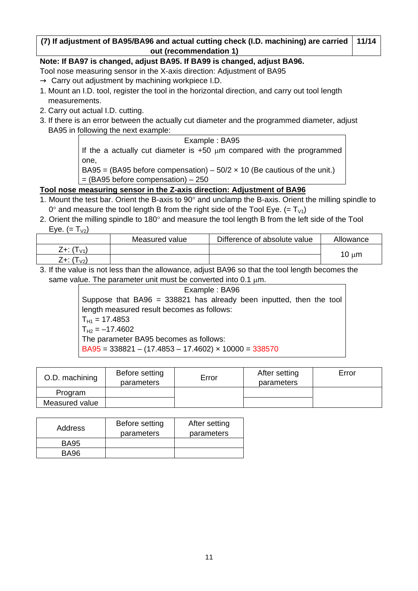#### **(7) If adjustment of BA95/BA96 and actual cutting check (I.D. machining) are carried out (recommendation 1) 11/14**

### **Note: If BA97 is changed, adjust BA95. If BA99 is changed, adjust BA96.**

- Tool nose measuring sensor in the X-axis direction: Adjustment of BA95 Carry out adjustment by machining workpiece I.D.
- 1. Mount an I.D. tool, register the tool in the horizontal direction, and carry out tool length measurements.
- 2. Carry out actual I.D. cutting.
- 3. If there is an error between the actually cut diameter and the programmed diameter, adjust BA95 in following the next example:

Example : BA95 If the a actually cut diameter is  $+50 \mu m$  compared with the programmed one,

BA95 = (BA95 before compensation) –  $50/2 \times 10$  (Be cautious of the unit.)

 $=$  (BA95 before compensation)  $-250$ 

## **Tool nose measuring sensor in the Z-axis direction: Adjustment of BA96**

- 1. Mount the test bar. Orient the B-axis to 90° and unclamp the B-axis. Orient the milling spindle to  $0^{\circ}$  and measure the tool length B from the right side of the Tool Eye. (=  $T_{V1}$ )
- 2. Orient the milling spindle to 180° and measure the tool length B from the left side of the Tool Eye.  $(= T_{V2})$

|                           | Measured value | Difference of absolute value | Allowance  |
|---------------------------|----------------|------------------------------|------------|
| Z+: (T<br>1 <sub>V1</sub> |                |                              |            |
| Z+: (T<br>$\vert$ V2)     |                |                              | $10 \mu m$ |

3. If the value is not less than the allowance, adjust BA96 so that the tool length becomes the same value. The parameter unit must be converted into 0.1  $\mu$ m.

Example : BA96 Suppose that  $BA96 = 338821$  has already been inputted, then the tool length measured result becomes as follows:  $T_{H1} = 17.4853$  $T_{H2} = -17.4602$ The parameter BA95 becomes as follows:  $B<sub>4</sub> = 338821 - (17.4853 - 17.4602) \times 10000 = 338570$ 

| O.D. machining | Before setting<br>parameters | Error | After setting<br>parameters | Error |
|----------------|------------------------------|-------|-----------------------------|-------|
| Program        |                              |       |                             |       |
| Measured value |                              |       |                             |       |

| Address     | Before setting<br>parameters | After setting<br>parameters |
|-------------|------------------------------|-----------------------------|
| <b>BA95</b> |                              |                             |
| BA96        |                              |                             |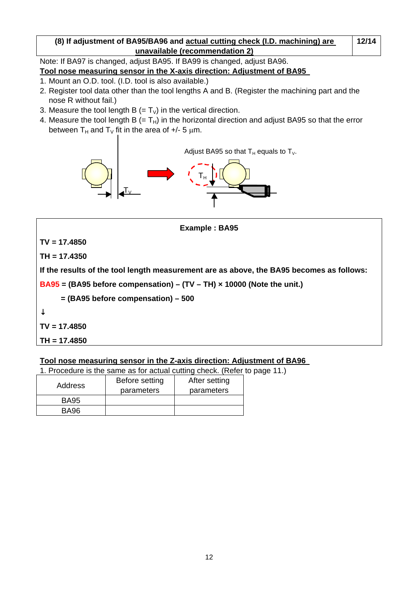## **(8) If adjustment of BA95/BA96 and actual cutting check (I.D. machining) are unavailable (recommendation 2)**

**12/14**

# Note: If BA97 is changed, adjust BA95. If BA99 is changed, adjust BA96.

# **Tool nose measuring sensor in the X-axis direction: Adjustment of BA95**

- 1. Mount an O.D. tool. (I.D. tool is also available.)
- 2. Register tool data other than the tool lengths A and B. (Register the machining part and the nose R without fail.)
- 3. Measure the tool length B (=  $T_V$ ) in the vertical direction.
- 4. Measure the tool length B  $(= T_H)$  in the horizontal direction and adjust BA95 so that the error between  $T_H$  and  $T_V$  fit in the area of  $+/$ - 5  $µm$ .



**TV = 17.4850** 

**TH = 17.4350** 

**If the results of the tool length measurement are as above, the BA95 becomes as follows:** 

**Example : BA95** 

**BA95 = (BA95 before compensation) – (TV – TH) × 10000 (Note the unit.)** 

 **= (BA95 before compensation) – 500** 

**TV = 17.4850** 

**TH = 17.4850** 

## **Tool nose measuring sensor in the Z-axis direction: Adjustment of BA96**

1. Procedure is the same as for actual cutting check. (Refer to page 11.)

| Address     | Before setting<br>parameters | After setting<br>parameters |
|-------------|------------------------------|-----------------------------|
| <b>BA95</b> |                              |                             |
| <b>BA96</b> |                              |                             |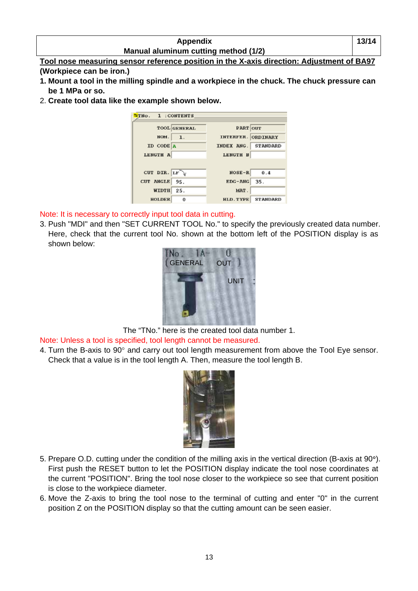| <b>Appendix</b>                      | 13/14 |
|--------------------------------------|-------|
| Manual aluminum cutting method (1/2) |       |

**Tool nose measuring sensor reference position in the X-axis direction: Adjustment of BA97 (Workpiece can be iron.)** 

- **1. Mount a tool in the milling spindle and a workpiece in the chuck. The chuck pressure can be 1 MPa or so.**
- 2. **Create tool data like the example shown below.**



Note: It is necessary to correctly input tool data in cutting.

3. Push "MDI" and then "SET CURRENT TOOL No." to specify the previously created data number. Here, check that the current tool No. shown at the bottom left of the POSITION display is as shown below:



The "TNo." here is the created tool data number 1.

Note: Unless a tool is specified, tool length cannot be measured.

4. Turn the B-axis to 90° and carry out tool length measurement from above the Tool Eye sensor. Check that a value is in the tool length A. Then, measure the tool length B.



- 5. Prepare O.D. cutting under the condition of the milling axis in the vertical direction (B-axis at 90°). First push the RESET button to let the POSITION display indicate the tool nose coordinates at the current "POSITION". Bring the tool nose closer to the workpiece so see that current position is close to the workpiece diameter.
- 6. Move the Z-axis to bring the tool nose to the terminal of cutting and enter "0" in the current position Z on the POSITION display so that the cutting amount can be seen easier.